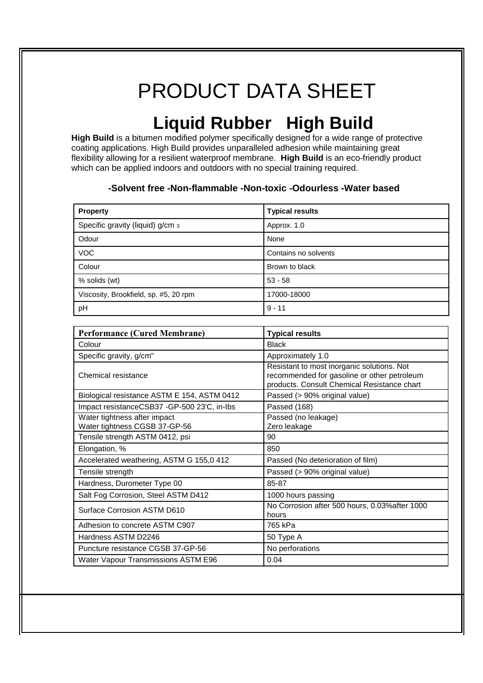# PRODUCT DATA SHEET

## **Liquid Rubber High Build**

**High Build** is a bitumen modified polymer specifically designed for a wide range of protective coating applications. High Build provides unparalleled adhesion while maintaining great flexibility allowing for a resilient waterproof membrane. **High Build** is an eco-friendly product which can be applied indoors and outdoors with no special training required.

### **-Solvent free -Non-flammable -Non-toxic -Odourless -Water based**

| <b>Property</b>                       | <b>Typical results</b> |
|---------------------------------------|------------------------|
| Specific gravity (liquid) g/cm 3      | Approx. 1.0            |
| Odour                                 | None                   |
| <b>VOC</b>                            | Contains no solvents   |
| Colour                                | Brown to black         |
| % solids (wt)                         | $53 - 58$              |
| Viscosity, Brookfield, sp. #5, 20 rpm | 17000-18000            |
| pH                                    | $9 - 11$               |

| <b>Performance (Cured Membrane)</b>                           | <b>Typical results</b>                                                                                                                   |
|---------------------------------------------------------------|------------------------------------------------------------------------------------------------------------------------------------------|
| Colour                                                        | <b>Black</b>                                                                                                                             |
| Specific gravity, g/cm"                                       | Approximately 1.0                                                                                                                        |
| Chemical resistance                                           | Resistant to most inorganic solutions. Not<br>recommended for gasoline or other petroleum<br>products. Consult Chemical Resistance chart |
| Biological resistance ASTM E 154, ASTM 0412                   | Passed (> 90% original value)                                                                                                            |
| Impact resistanceCSB37 -GP-500 23'C, in-Ibs                   | Passed (168)                                                                                                                             |
| Water tightness after impact<br>Water tightness CGSB 37-GP-56 | Passed (no leakage)<br>Zero leakage                                                                                                      |
| Tensile strength ASTM 0412, psi                               | 90                                                                                                                                       |
| Elongation, %                                                 | 850                                                                                                                                      |
| Accelerated weathering, ASTM G 155,0 412                      | Passed (No deterioration of film)                                                                                                        |
| Tensile strength                                              | Passed (> 90% original value)                                                                                                            |
| Hardness, Durometer Type 00                                   | 85-87                                                                                                                                    |
| Salt Fog Corrosion, Steel ASTM D412                           | 1000 hours passing                                                                                                                       |
| Surface Corrosion ASTM D610                                   | No Corrosion after 500 hours, 0.03% after 1000<br>hours                                                                                  |
| Adhesion to concrete ASTM C907                                | 765 kPa                                                                                                                                  |
| Hardness ASTM D2246                                           | 50 Type A                                                                                                                                |
| Puncture resistance CGSB 37-GP-56                             | No perforations                                                                                                                          |
| Water Vapour Transmissions ASTM E96                           | 0.04                                                                                                                                     |